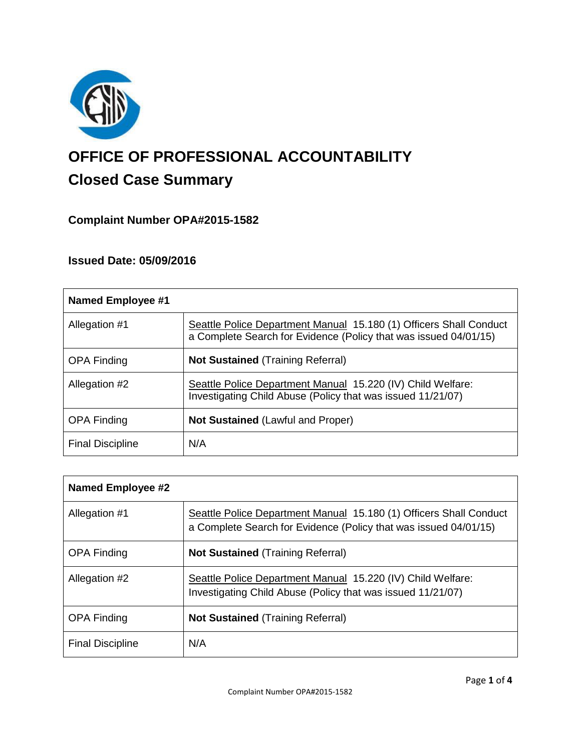

# **OFFICE OF PROFESSIONAL ACCOUNTABILITY Closed Case Summary**

# **Complaint Number OPA#2015-1582**

# **Issued Date: 05/09/2016**

| Named Employee #1       |                                                                                                                                        |
|-------------------------|----------------------------------------------------------------------------------------------------------------------------------------|
| Allegation #1           | Seattle Police Department Manual 15.180 (1) Officers Shall Conduct<br>a Complete Search for Evidence (Policy that was issued 04/01/15) |
| <b>OPA Finding</b>      | <b>Not Sustained (Training Referral)</b>                                                                                               |
| Allegation #2           | Seattle Police Department Manual 15.220 (IV) Child Welfare:<br>Investigating Child Abuse (Policy that was issued 11/21/07)             |
| <b>OPA Finding</b>      | <b>Not Sustained (Lawful and Proper)</b>                                                                                               |
| <b>Final Discipline</b> | N/A                                                                                                                                    |

| <b>Named Employee #2</b> |                                                                                                                                        |
|--------------------------|----------------------------------------------------------------------------------------------------------------------------------------|
| Allegation #1            | Seattle Police Department Manual 15.180 (1) Officers Shall Conduct<br>a Complete Search for Evidence (Policy that was issued 04/01/15) |
| <b>OPA Finding</b>       | <b>Not Sustained (Training Referral)</b>                                                                                               |
| Allegation #2            | Seattle Police Department Manual 15.220 (IV) Child Welfare:<br>Investigating Child Abuse (Policy that was issued 11/21/07)             |
| <b>OPA Finding</b>       | <b>Not Sustained (Training Referral)</b>                                                                                               |
| <b>Final Discipline</b>  | N/A                                                                                                                                    |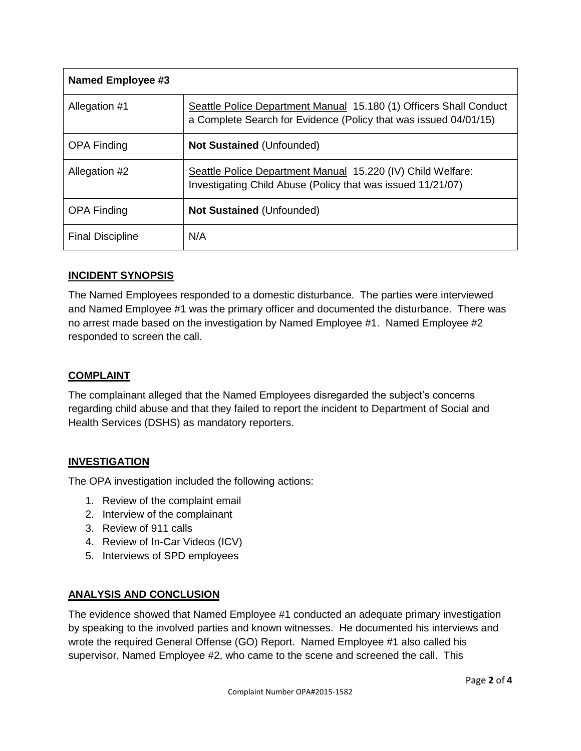| <b>Named Employee #3</b> |                                                                                                                                        |
|--------------------------|----------------------------------------------------------------------------------------------------------------------------------------|
| Allegation #1            | Seattle Police Department Manual 15.180 (1) Officers Shall Conduct<br>a Complete Search for Evidence (Policy that was issued 04/01/15) |
| <b>OPA Finding</b>       | <b>Not Sustained (Unfounded)</b>                                                                                                       |
| Allegation #2            | Seattle Police Department Manual 15.220 (IV) Child Welfare:<br>Investigating Child Abuse (Policy that was issued 11/21/07)             |
| <b>OPA Finding</b>       | <b>Not Sustained (Unfounded)</b>                                                                                                       |
| <b>Final Discipline</b>  | N/A                                                                                                                                    |

## **INCIDENT SYNOPSIS**

The Named Employees responded to a domestic disturbance. The parties were interviewed and Named Employee #1 was the primary officer and documented the disturbance. There was no arrest made based on the investigation by Named Employee #1. Named Employee #2 responded to screen the call.

# **COMPLAINT**

The complainant alleged that the Named Employees disregarded the subject's concerns regarding child abuse and that they failed to report the incident to Department of Social and Health Services (DSHS) as mandatory reporters.

## **INVESTIGATION**

The OPA investigation included the following actions:

- 1. Review of the complaint email
- 2. Interview of the complainant
- 3. Review of 911 calls
- 4. Review of In-Car Videos (ICV)
- 5. Interviews of SPD employees

## **ANALYSIS AND CONCLUSION**

The evidence showed that Named Employee #1 conducted an adequate primary investigation by speaking to the involved parties and known witnesses. He documented his interviews and wrote the required General Offense (GO) Report. Named Employee #1 also called his supervisor, Named Employee #2, who came to the scene and screened the call. This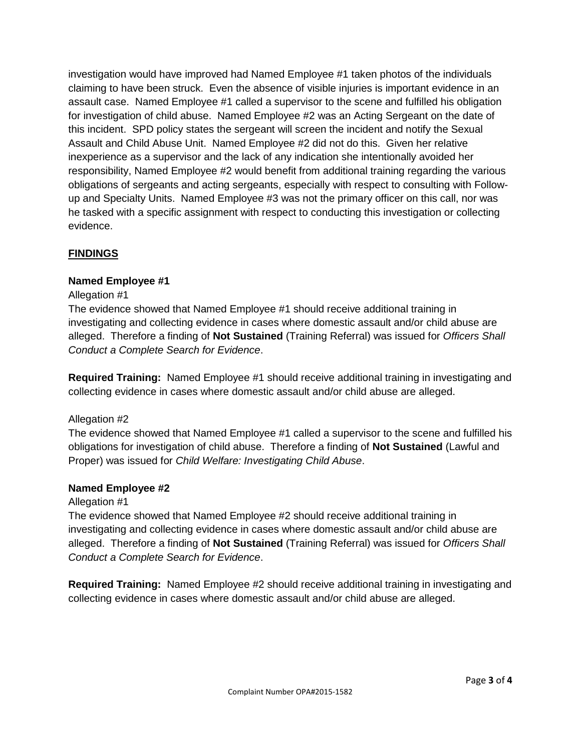investigation would have improved had Named Employee #1 taken photos of the individuals claiming to have been struck. Even the absence of visible injuries is important evidence in an assault case. Named Employee #1 called a supervisor to the scene and fulfilled his obligation for investigation of child abuse. Named Employee #2 was an Acting Sergeant on the date of this incident. SPD policy states the sergeant will screen the incident and notify the Sexual Assault and Child Abuse Unit. Named Employee #2 did not do this. Given her relative inexperience as a supervisor and the lack of any indication she intentionally avoided her responsibility, Named Employee #2 would benefit from additional training regarding the various obligations of sergeants and acting sergeants, especially with respect to consulting with Followup and Specialty Units. Named Employee #3 was not the primary officer on this call, nor was he tasked with a specific assignment with respect to conducting this investigation or collecting evidence.

## **FINDINGS**

## **Named Employee #1**

#### Allegation #1

The evidence showed that Named Employee #1 should receive additional training in investigating and collecting evidence in cases where domestic assault and/or child abuse are alleged. Therefore a finding of **Not Sustained** (Training Referral) was issued for *Officers Shall Conduct a Complete Search for Evidence*.

**Required Training:** Named Employee #1 should receive additional training in investigating and collecting evidence in cases where domestic assault and/or child abuse are alleged.

## Allegation #2

The evidence showed that Named Employee #1 called a supervisor to the scene and fulfilled his obligations for investigation of child abuse. Therefore a finding of **Not Sustained** (Lawful and Proper) was issued for *Child Welfare: Investigating Child Abuse*.

#### **Named Employee #2**

#### Allegation #1

The evidence showed that Named Employee #2 should receive additional training in investigating and collecting evidence in cases where domestic assault and/or child abuse are alleged. Therefore a finding of **Not Sustained** (Training Referral) was issued for *Officers Shall Conduct a Complete Search for Evidence*.

**Required Training:** Named Employee #2 should receive additional training in investigating and collecting evidence in cases where domestic assault and/or child abuse are alleged.